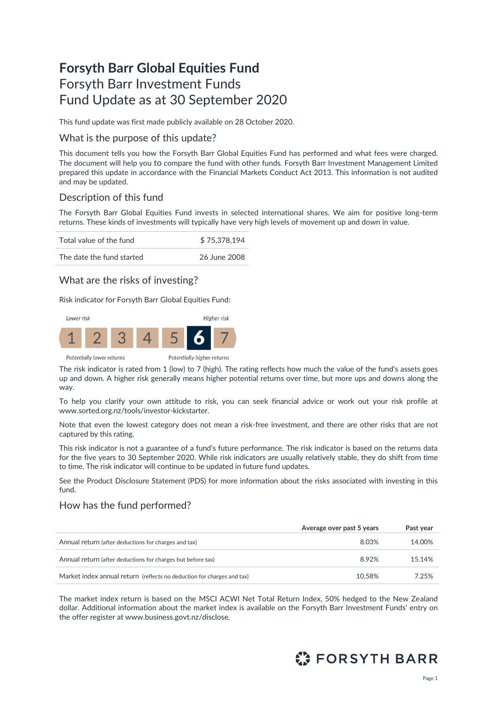# **Forsyth Barr Global Equities Fund** Forsyth Barr Investment Funds Fund Update as at 30 September 2020

This fund update was first made publicly available on 28 October 2020.

### What is the purpose of this update?

This document tells you how the Forsyth Barr Global Equities Fund has performed and what fees were charged. The document will help you to compare the fund with other funds. Forsyth Barr Investment Management Limited prepared this update in accordance with the Financial Markets Conduct Act 2013. This information is not audited and may be updated.

### Description of this fund

The Forsyth Barr Global Equities Fund invests in selected international shares. We aim for positive long-term returns. These kinds of investments will typically have very high levels of movement up and down in value.

| Total value of the fund   | \$75,378,194 |
|---------------------------|--------------|
| The date the fund started | 26 June 2008 |

### What are the risks of investing?

Risk indicator for Forsyth Barr Global Equities Fund:



The risk indicator is rated from 1 (low) to 7 (high). The rating reflects how much the value of the fund's assets goes up and down. A higher risk generally means higher potential returns over time, but more ups and downs along the way.

To help you clarify your own attitude to risk, you can seek financial advice or work out your risk profile at [www.sorted.org.nz/tools/investor-kickstarter.](http://www.sorted.org.nz/tools/investor-kickstarter)

Note that even the lowest category does not mean a risk-free investment, and there are other risks that are not captured by this rating.

This risk indicator is not a guarantee of a fund's future performance. The risk indicator is based on the returns data for the five years to 30 September 2020. While risk indicators are usually relatively stable, they do shift from time to time. The risk indicator will continue to be updated in future fund updates.

See the Product Disclosure Statement (PDS) for more information about the risks associated with investing in this fund.

# How has the fund performed?

|                                                                        | Average over past 5 years | Past year |
|------------------------------------------------------------------------|---------------------------|-----------|
| Annual return (after deductions for charges and tax)                   | 8.03%                     | 14.00%    |
| Annual return (after deductions for charges but before tax)            | 8.92%                     | 15.14%    |
| Market index annual return (reflects no deduction for charges and tax) | 10.58%                    | 7.25%     |

The market index return is based on the MSCI ACWI Net Total Return Index, 50% hedged to the New Zealand dollar. Additional information about the market index is available on the Forsyth Barr Investment Funds' entry on the offer register at [www.business.govt.nz/disclose](http://www.business.govt.nz/disclose)*.*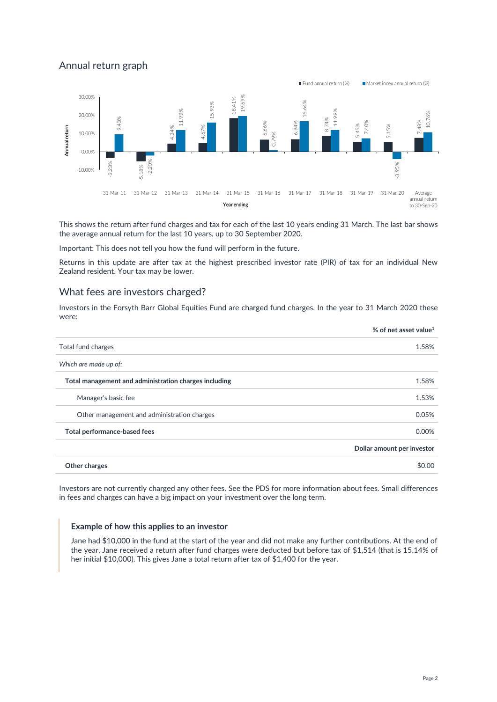# Annual return graph



This shows the return after fund charges and tax for each of the last 10 years ending 31 March. The last bar shows the average annual return for the last 10 years, up to 30 September 2020.

Important: This does not tell you how the fund will perform in the future.

Returns in this update are after tax at the highest prescribed investor rate (PIR) of tax for an individual New Zealand resident. Your tax may be lower.

#### What fees are investors charged?

Investors in the Forsyth Barr Global Equities Fund are charged fund charges. In the year to 31 March 2020 these were:

|                                                       | % of net asset value <sup>1</sup> |
|-------------------------------------------------------|-----------------------------------|
| Total fund charges                                    | 1.58%                             |
| Which are made up of:                                 |                                   |
| Total management and administration charges including | 1.58%                             |
| Manager's basic fee                                   | 1.53%                             |
| Other management and administration charges           | 0.05%                             |
| Total performance-based fees                          | 0.00%                             |
|                                                       | Dollar amount per investor        |
| Other charges                                         | \$0.00                            |

Investors are not currently charged any other fees. See the PDS for more information about fees. Small differences in fees and charges can have a big impact on your investment over the long term.

#### **Example of how this applies to an investor**

Jane had \$10,000 in the fund at the start of the year and did not make any further contributions. At the end of the year, Jane received a return after fund charges were deducted but before tax of \$1,514 (that is 15.14% of her initial \$10,000). This gives Jane a total return after tax of \$1,400 for the year.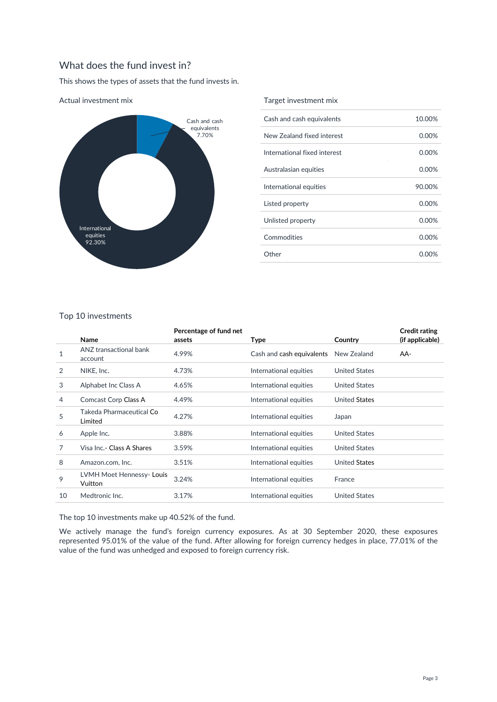# What does the fund invest in?

This shows the types of assets that the fund invests in.



Actual investment mix

#### Target investment mix

| Cash and cash equivalents    | 10.00%   |
|------------------------------|----------|
| New Zealand fixed interest   | 0.00%    |
| International fixed interest | 0.00%    |
| Australasian equities        | $0.00\%$ |
| International equities       | 90.00%   |
| Listed property              | $0.00\%$ |
| Unlisted property            | $0.00\%$ |
| Commodities                  | $0.00\%$ |
| Other                        | 0.00%    |
|                              |          |

### Top 10 investments

|    | Name                                | Percentage of fund net<br>assets | Type                      | Country              | <b>Credit rating</b><br>(if applicable) |
|----|-------------------------------------|----------------------------------|---------------------------|----------------------|-----------------------------------------|
| 1  | ANZ transactional bank<br>account   | 4.99%                            | Cash and cash equivalents | New Zealand          | AA-                                     |
| 2  | NIKE, Inc.                          | 4.73%                            | International equities    | <b>United States</b> |                                         |
| 3  | Alphabet Inc Class A                | 4.65%                            | International equities    | <b>United States</b> |                                         |
| 4  | Comcast Corp Class A                | 4.49%                            | International equities    | <b>United States</b> |                                         |
| 5  | Takeda Pharmaceutical Co<br>Limited | 4.27%                            | International equities    | Japan                |                                         |
| 6  | Apple Inc.                          | 3.88%                            | International equities    | <b>United States</b> |                                         |
| 7  | Visa Inc.- Class A Shares           | 3.59%                            | International equities    | <b>United States</b> |                                         |
| 8  | Amazon.com, Inc.                    | 3.51%                            | International equities    | <b>United States</b> |                                         |
| 9  | LVMH Moet Hennessy-Louis<br>Vuitton | 3.24%                            | International equities    | France               |                                         |
| 10 | Medtronic Inc.                      | 3.17%                            | International equities    | <b>United States</b> |                                         |

The top 10 investments make up 40.52% of the fund.

We actively manage the fund's foreign currency exposures. As at 30 September 2020, these exposures represented 95.01% of the value of the fund. After allowing for foreign currency hedges in place, 77.01% of the value of the fund was unhedged and exposed to foreign currency risk.